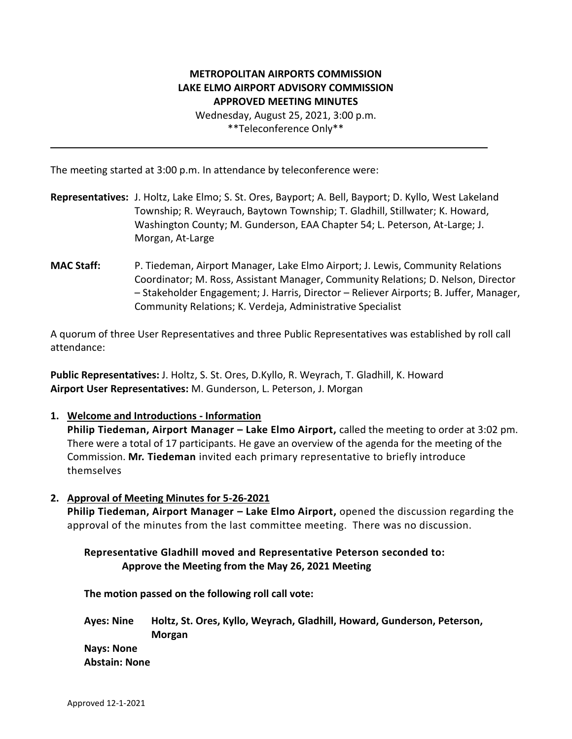# **METROPOLITAN AIRPORTS COMMISSION LAKE ELMO AIRPORT ADVISORY COMMISSION APPROVED MEETING MINUTES**

Wednesday, August 25, 2021, 3:00 p.m. \*\*Teleconference Only\*\*

The meeting started at 3:00 p.m. In attendance by teleconference were:

- **Representatives:** J. Holtz, Lake Elmo; S. St. Ores, Bayport; A. Bell, Bayport; D. Kyllo, West Lakeland Township; R. Weyrauch, Baytown Township; T. Gladhill, Stillwater; K. Howard, Washington County; M. Gunderson, EAA Chapter 54; L. Peterson, At-Large; J. Morgan, At-Large
- **MAC Staff:** P. Tiedeman, Airport Manager, Lake Elmo Airport; J. Lewis, Community Relations Coordinator; M. Ross, Assistant Manager, Community Relations; D. Nelson, Director – Stakeholder Engagement; J. Harris, Director – Reliever Airports; B. Juffer, Manager, Community Relations; K. Verdeja, Administrative Specialist

A quorum of three User Representatives and three Public Representatives was established by roll call attendance:

**Public Representatives:** J. Holtz, S. St. Ores, D.Kyllo, R. Weyrach, T. Gladhill, K. Howard **Airport User Representatives:** M. Gunderson, L. Peterson, J. Morgan

**1. Welcome and Introductions - Information**

**Philip Tiedeman, Airport Manager – Lake Elmo Airport,** called the meeting to order at 3:02 pm. There were a total of 17 participants. He gave an overview of the agenda for the meeting of the Commission. **Mr. Tiedeman** invited each primary representative to briefly introduce themselves

**2. Approval of Meeting Minutes for 5-26-2021**

**Philip Tiedeman, Airport Manager – Lake Elmo Airport,** opened the discussion regarding the approval of the minutes from the last committee meeting. There was no discussion.

## **Representative Gladhill moved and Representative Peterson seconded to: Approve the Meeting from the May 26, 2021 Meeting**

**The motion passed on the following roll call vote:** 

**Ayes: Nine Holtz, St. Ores, Kyllo, Weyrach, Gladhill, Howard, Gunderson, Peterson, Morgan**

**Nays: None Abstain: None**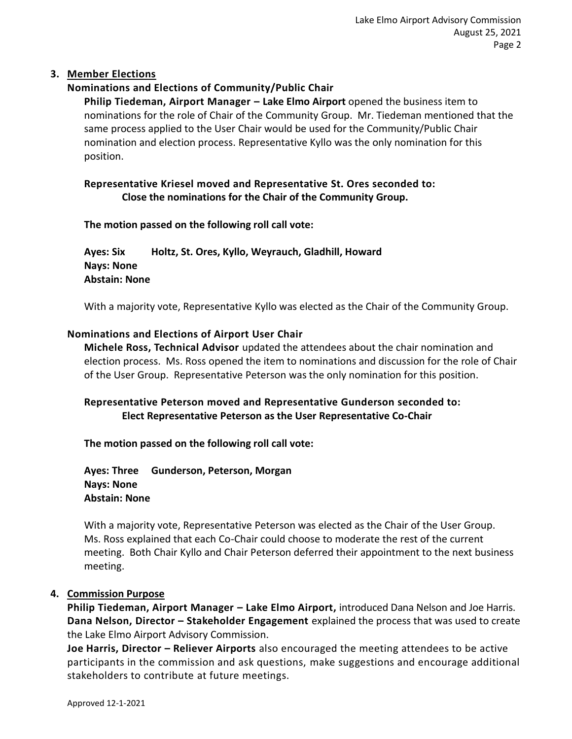## **3. Member Elections**

## **Nominations and Elections of Community/Public Chair**

**Philip Tiedeman, Airport Manager – Lake Elmo Airport** opened the business item to nominations for the role of Chair of the Community Group. Mr. Tiedeman mentioned that the same process applied to the User Chair would be used for the Community/Public Chair nomination and election process. Representative Kyllo was the only nomination for this position.

## **Representative Kriesel moved and Representative St. Ores seconded to: Close the nominations for the Chair of the Community Group.**

### **The motion passed on the following roll call vote:**

**Ayes: Six Holtz, St. Ores, Kyllo, Weyrauch, Gladhill, Howard Nays: None Abstain: None**

With a majority vote, Representative Kyllo was elected as the Chair of the Community Group.

### **Nominations and Elections of Airport User Chair**

**Michele Ross, Technical Advisor** updated the attendees about the chair nomination and election process. Ms. Ross opened the item to nominations and discussion for the role of Chair of the User Group. Representative Peterson was the only nomination for this position.

## **Representative Peterson moved and Representative Gunderson seconded to: Elect Representative Peterson as the User Representative Co-Chair**

**The motion passed on the following roll call vote:** 

**Ayes: Three Gunderson, Peterson, Morgan Nays: None Abstain: None**

With a majority vote, Representative Peterson was elected as the Chair of the User Group. Ms. Ross explained that each Co-Chair could choose to moderate the rest of the current meeting. Both Chair Kyllo and Chair Peterson deferred their appointment to the next business meeting.

### **4. Commission Purpose**

**Philip Tiedeman, Airport Manager – Lake Elmo Airport,** introduced Dana Nelson and Joe Harris. **Dana Nelson, Director – Stakeholder Engagement** explained the process that was used to create the Lake Elmo Airport Advisory Commission.

**Joe Harris, Director – Reliever Airports** also encouraged the meeting attendees to be active participants in the commission and ask questions, make suggestions and encourage additional stakeholders to contribute at future meetings.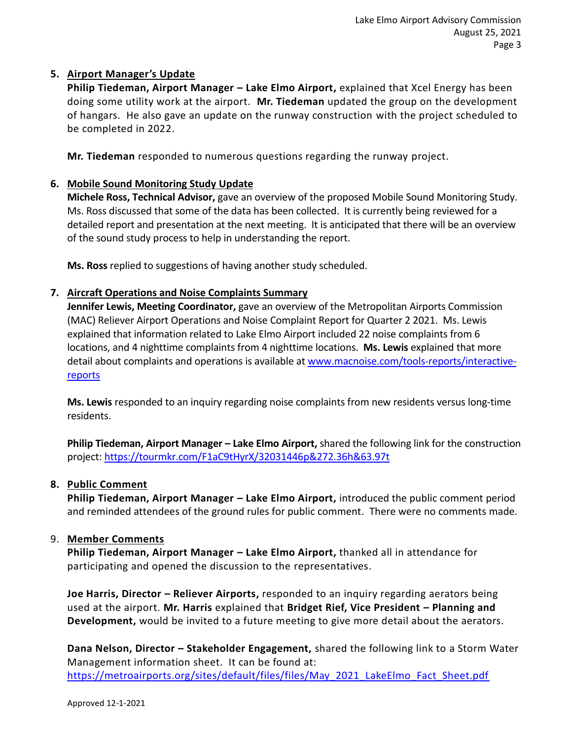## **5. Airport Manager's Update**

**Philip Tiedeman, Airport Manager – Lake Elmo Airport,** explained that Xcel Energy has been doing some utility work at the airport. **Mr. Tiedeman** updated the group on the development of hangars. He also gave an update on the runway construction with the project scheduled to be completed in 2022.

**Mr. Tiedeman** responded to numerous questions regarding the runway project.

## **6. Mobile Sound Monitoring Study Update**

**Michele Ross, Technical Advisor,** gave an overview of the proposed Mobile Sound Monitoring Study. Ms. Ross discussed that some of the data has been collected. It is currently being reviewed for a detailed report and presentation at the next meeting. It is anticipated that there will be an overview of the sound study process to help in understanding the report.

**Ms. Ross** replied to suggestions of having another study scheduled.

### **7. Aircraft Operations and Noise Complaints Summary**

**Jennifer Lewis, Meeting Coordinator,** gave an overview of the Metropolitan Airports Commission (MAC) Reliever Airport Operations and Noise Complaint Report for Quarter 2 2021. Ms. Lewis explained that information related to Lake Elmo Airport included 22 noise complaints from 6 locations, and 4 nighttime complaints from 4 nighttime locations. **Ms. Lewis** explained that more detail about complaints and operations is available at [www.macnoise.com/tools-reports/interactive](http://www.macnoise.com/tools-reports/interactive-reports)[reports](http://www.macnoise.com/tools-reports/interactive-reports)

**Ms. Lewis** responded to an inquiry regarding noise complaints from new residents versus long-time residents.

**Philip Tiedeman, Airport Manager – Lake Elmo Airport,** shared the following link for the construction project:<https://tourmkr.com/F1aC9tHyrX/32031446p&272.36h&63.97t>

### **8. Public Comment**

**Philip Tiedeman, Airport Manager – Lake Elmo Airport,** introduced the public comment period and reminded attendees of the ground rules for public comment. There were no comments made.

### 9. **Member Comments**

**Philip Tiedeman, Airport Manager – Lake Elmo Airport,** thanked all in attendance for participating and opened the discussion to the representatives.

**Joe Harris, Director – Reliever Airports,** responded to an inquiry regarding aerators being used at the airport. **Mr. Harris** explained that **Bridget Rief, Vice President – Planning and Development,** would be invited to a future meeting to give more detail about the aerators.

**Dana Nelson, Director – Stakeholder Engagement,** shared the following link to a Storm Water Management information sheet. It can be found at: [https://metroairports.org/sites/default/files/files/May\\_2021\\_LakeElmo\\_Fact\\_Sheet.pdf](https://metroairports.org/sites/default/files/files/May_2021_LakeElmo_Fact_Sheet.pdf)